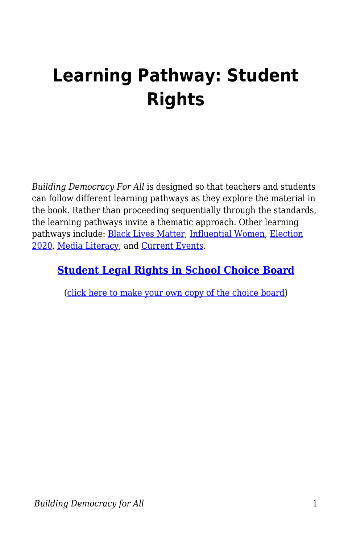## **Learning Pathway: Student Rights**

*Building Democracy For All* is designed so that teachers and students can follow different learning pathways as they explore the material in the book. Rather than proceeding sequentially through the standards, the learning pathways invite a thematic approach. Other learning pathways include: [Black Lives Matter,](https://edtechbooks.org/democracy/pathwayBLM) [Influential Women,](https://edtechbooks.org/democracy/pathwaywomen) [Election](https://edtechbooks.org/democracy/pathwayelection) [2020,](https://edtechbooks.org/democracy/pathwayelection) [Media Literacy,](https://edtechbooks.org/democracy/medialit) and [Current Events.](https://edtechbooks.org/democracy/pathwaycurrent)

## **[Student Legal Rights in School Choice Board](https://docs.google.com/document/d/1QhTmo12RnLF2fxW4I7Lhocl-cvt6sDftD2rsZAQyt_c/edit?usp=sharing)**

([click here to make your own copy of the choice board](https://docs.google.com/document/d/1QhTmo12RnLF2fxW4I7Lhocl-cvt6sDftD2rsZAQyt_c/copy))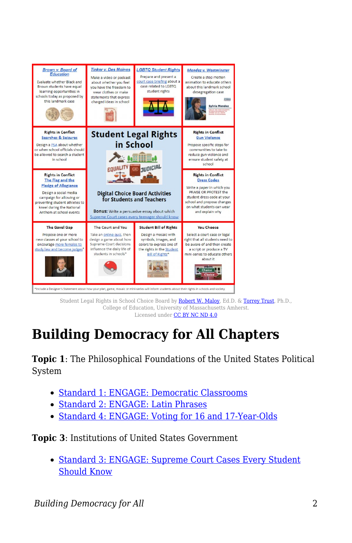

Student Legal Rights in School Choice Board by **Robert W. Maloy**, Ed.D. & [Torrey Trust,](http://www.torreytrust.com) Ph.D., College of Education, University of Massachusetts Amherst. Licensed under [CC BY NC ND 4.0](https://creativecommons.org/licenses/by-nc-nd/4.0/)

## **Building Democracy for All Chapters**

**Topic 1**: The Philosophical Foundations of the United States Political System

- [Standard 1: ENGAGE: Democratic Classrooms](https://edtechbooks.org/democracy/athens#h3_zTbkL)
- [Standard 2: ENGAGE: Latin Phrases](https://edtechbooks.org/democracy/romanrepublic#h2_TXzYi)
- [Standard 4: ENGAGE: Voting for 16 and 17-Year-Olds](https://edtechbooks.org/democracy/britishinfluence#h2_NTIAm)

**Topic 3**: Institutions of United States Government

• [Standard 3: ENGAGE: Supreme Court Cases Every Student](https://edtechbooks.org/democracy/roles#p_LkHwF) [Should Know](https://edtechbooks.org/democracy/roles#p_LkHwF)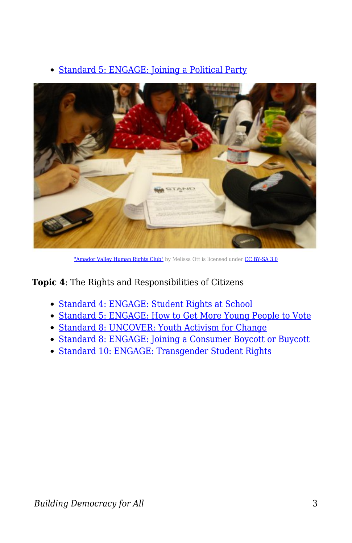



["Amador Valley Human Rights Club"](https://commons.wikimedia.org/wiki/File:Amador_Valley_Human_Rights_Club.JPG) by Melissa Ott is licensed under [CC BY-SA 3.0](https://creativecommons.org/licenses/by-sa/3.0/deed.en)

**Topic 4**: The Rights and Responsibilities of Citizens

- [Standard 4: ENGAGE: Student Rights at School](https://edtechbooks.org/democracy/principles#h2_DMyRe)
- [Standard 5: ENGAGE: How to Get More Young People to Vote](https://edtechbooks.org/democracy/participation#p_ojnst)
- [Standard 8: UNCOVER: Youth Activism for Change](https://edtechbooks.org/democracy/cooperation#h2_rJdRV)
- [Standard 8: ENGAGE: Joining a Consumer Boycott or Buycott](https://edtechbooks.org/democracy/cooperation#h2_CMuMa)
- [Standard 10: ENGAGE: Transgender Student Rights](https://edtechbooks.org/democracy/conflict#h2_NEZuN)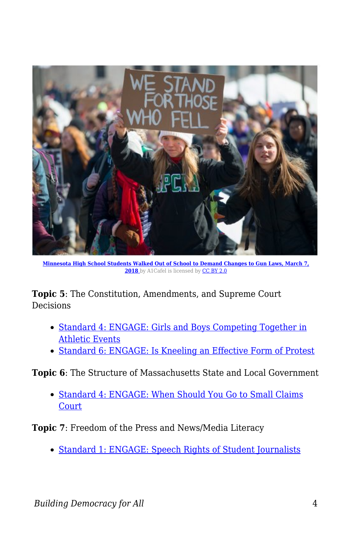

**[Minnesota High School Students Walked Out of School to Demand Changes to Gun Laws, March 7,](https://commons.wikimedia.org/wiki/File:March_For_Our_Lives_student_protest_for_gun_control_(39786581715).jpg)** [2018](https://commons.wikimedia.org/wiki/File:March_For_Our_Lives_student_protest_for_gun_control_(39786581715).jpg) by A1Cafel is licensed by [CC BY 2.0](https://creativecommons.org/licenses/by/2.0)

**Topic 5**: The Constitution, Amendments, and Supreme Court **Decisions** 

- [Standard 4: ENGAGE: Girls and Boys Competing Together in](https://edtechbooks.org/democracy/civilrights#h2_mjINT) [Athletic Events](https://edtechbooks.org/democracy/civilrights#h2_mjINT)
- [Standard 6: ENGAGE: Is Kneeling an Effective Form of Protest](https://edtechbooks.org/democracy/supremecourt/#h2_ypnrY)

**Topic 6**: The Structure of Massachusetts State and Local Government

• [Standard 4: ENGAGE: When Should You Go to Small Claims](https://edtechbooks.org/democracy/coredocuments#h2_rAuwo) **[Court](https://edtechbooks.org/democracy/coredocuments#h2_rAuwo)** 

**Topic 7**: Freedom of the Press and News/Media Literacy

[Standard 1: ENGAGE: Speech Rights of Student Journalists](https://edtechbooks.org/democracy/freedomofpress#h3_YeILr)